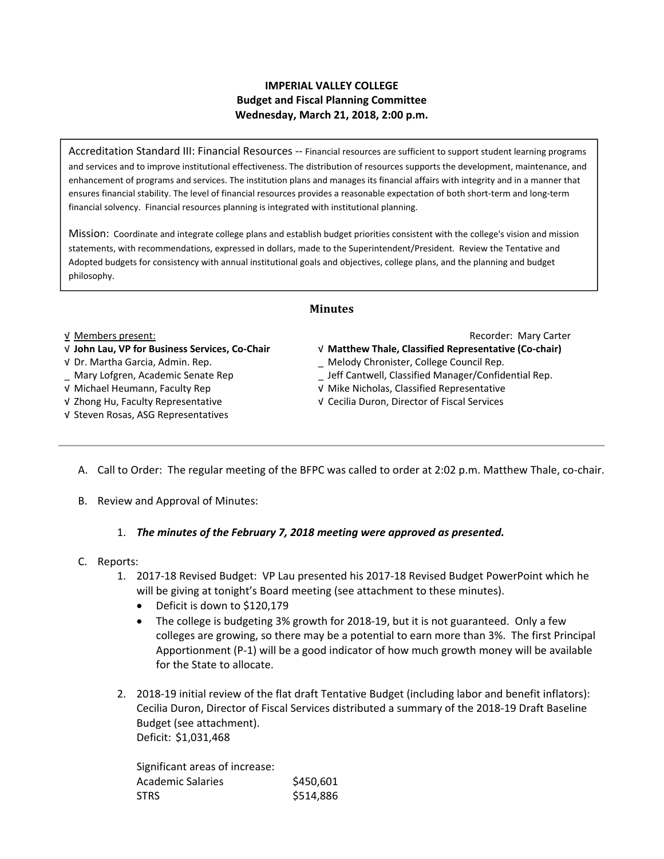#### **IMPERIAL VALLEY COLLEGE Budget and Fiscal Planning Committee Wednesday, March 21, 2018, 2:00 p.m.**

Accreditation Standard III: Financial Resources ‐‐ Financial resources are sufficient to support student learning programs and services and to improve institutional effectiveness. The distribution of resources supports the development, maintenance, and enhancement of programs and services. The institution plans and manages its financial affairs with integrity and in a manner that ensures financial stability. The level of financial resources provides a reasonable expectation of both short‐term and long‐term financial solvency. Financial resources planning is integrated with institutional planning.

Mission: Coordinate and integrate college plans and establish budget priorities consistent with the college's vision and mission statements, with recommendations, expressed in dollars, made to the Superintendent/President. Review the Tentative and Adopted budgets for consistency with annual institutional goals and objectives, college plans, and the planning and budget philosophy.

#### **Minutes**

- 
- 
- 
- 
- √ Steven Rosas, ASG Representatives

√ Members present: Recorder: Mary Carter

- √ **John Lau, VP for Business Services, Co‐Chair**  √ **Matthew Thale, Classified Representative (Co‐chair)**
- √ Dr. Martha Garcia, Admin. Rep. \_ Melody Chronister, College Council Rep.
- \_ Mary Lofgren, Academic Senate Rep \_ Jeff Cantwell, Classified Manager/Confidential Rep.
- √ Michael Heumann, Faculty Rep √ Mike Nicholas, Classified Representative
- √ Zhong Hu, Faculty Representative √ Cecilia Duron, Director of Fiscal Services
	- A. Call to Order: The regular meeting of the BFPC was called to order at 2:02 p.m. Matthew Thale, co-chair.
	- B. Review and Approval of Minutes:

#### 1. *The minutes of the February 7, 2018 meeting were approved as presented.*

- C. Reports:
	- 1. 2017‐18 Revised Budget: VP Lau presented his 2017‐18 Revised Budget PowerPoint which he will be giving at tonight's Board meeting (see attachment to these minutes).
		- Deficit is down to \$120,179
		- The college is budgeting 3% growth for 2018‐19, but it is not guaranteed. Only a few colleges are growing, so there may be a potential to earn more than 3%. The first Principal Apportionment (P‐1) will be a good indicator of how much growth money will be available for the State to allocate.
	- 2. 2018‐19 initial review of the flat draft Tentative Budget (including labor and benefit inflators): Cecilia Duron, Director of Fiscal Services distributed a summary of the 2018‐19 Draft Baseline Budget (see attachment). Deficit: \$1,031,468

Significant areas of increase: Academic Salaries \$450,601 STRS \$514,886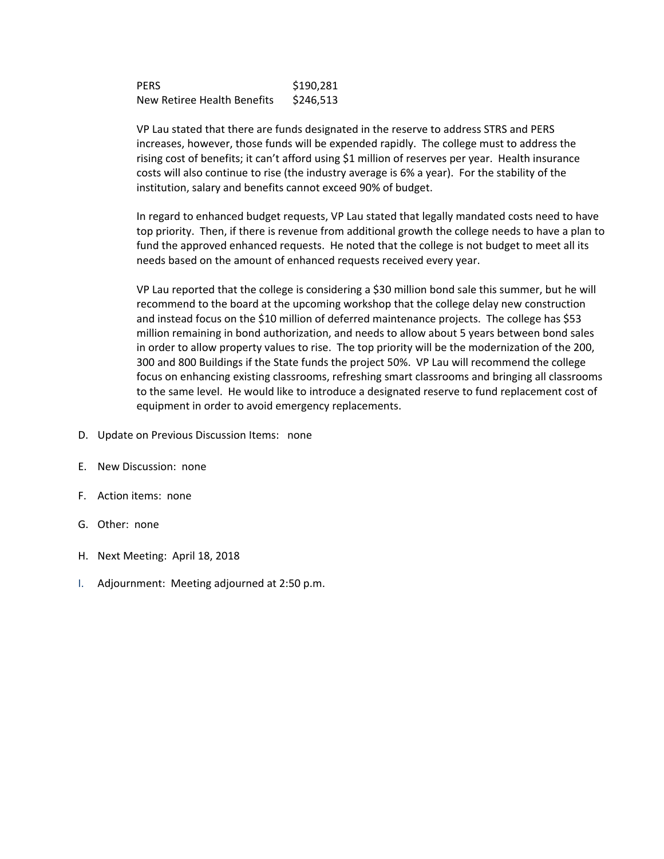PERS \$190,281 New Retiree Health Benefits \$246,513

VP Lau stated that there are funds designated in the reserve to address STRS and PERS increases, however, those funds will be expended rapidly. The college must to address the rising cost of benefits; it can't afford using \$1 million of reserves per year. Health insurance costs will also continue to rise (the industry average is 6% a year). For the stability of the institution, salary and benefits cannot exceed 90% of budget.

In regard to enhanced budget requests, VP Lau stated that legally mandated costs need to have top priority. Then, if there is revenue from additional growth the college needs to have a plan to fund the approved enhanced requests. He noted that the college is not budget to meet all its needs based on the amount of enhanced requests received every year.

VP Lau reported that the college is considering a \$30 million bond sale this summer, but he will recommend to the board at the upcoming workshop that the college delay new construction and instead focus on the \$10 million of deferred maintenance projects. The college has \$53 million remaining in bond authorization, and needs to allow about 5 years between bond sales in order to allow property values to rise. The top priority will be the modernization of the 200, 300 and 800 Buildings if the State funds the project 50%. VP Lau will recommend the college focus on enhancing existing classrooms, refreshing smart classrooms and bringing all classrooms to the same level. He would like to introduce a designated reserve to fund replacement cost of equipment in order to avoid emergency replacements.

- D. Update on Previous Discussion Items: none
- E. New Discussion: none
- F. Action items: none
- G. Other: none
- H. Next Meeting: April 18, 2018
- I. Adjournment: Meeting adjourned at 2:50 p.m.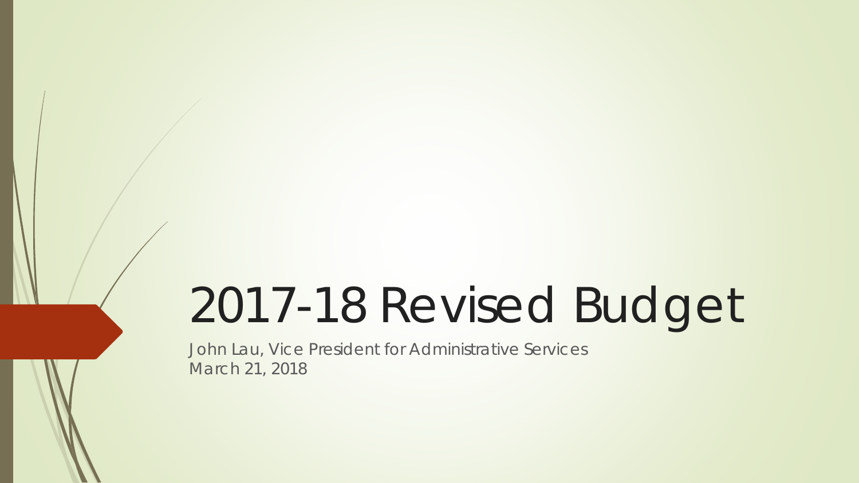# 2017-18 Revised Budget

John Lau, Vice President for Administrative Services March 21, 2018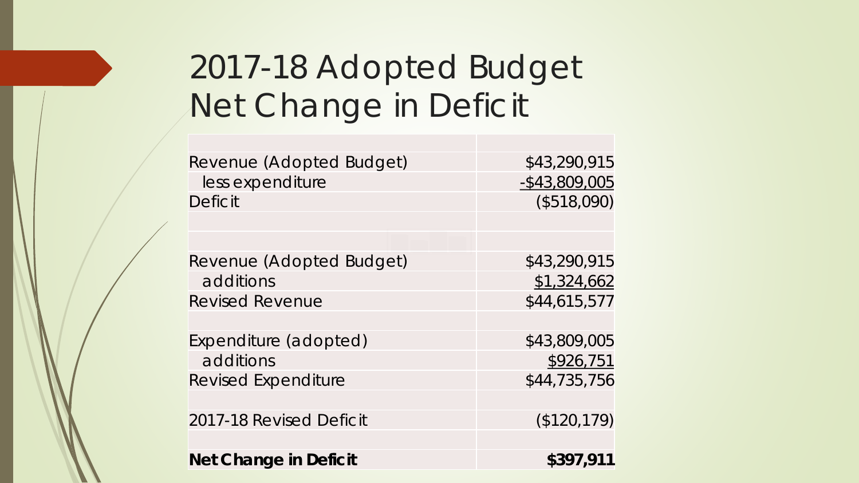# 2017-18 Adopted Budget Net Change in Deficit

| Revenue (Adopted Budget)     | \$43,290,915     |
|------------------------------|------------------|
| less expenditure             | $-$ \$43,809,005 |
| <b>Deficit</b>               | (\$518,090)      |
|                              |                  |
|                              |                  |
| Revenue (Adopted Budget)     | \$43,290,915     |
| additions                    | \$1,324,662      |
| <b>Revised Revenue</b>       | \$44,615,577     |
|                              |                  |
| Expenditure (adopted)        | \$43,809,005     |
| additions                    | \$926,751        |
| <b>Revised Expenditure</b>   | \$44,735,756     |
|                              |                  |
| 2017-18 Revised Deficit      | (\$120, 179)     |
|                              |                  |
| <b>Net Change in Deficit</b> | \$397,911        |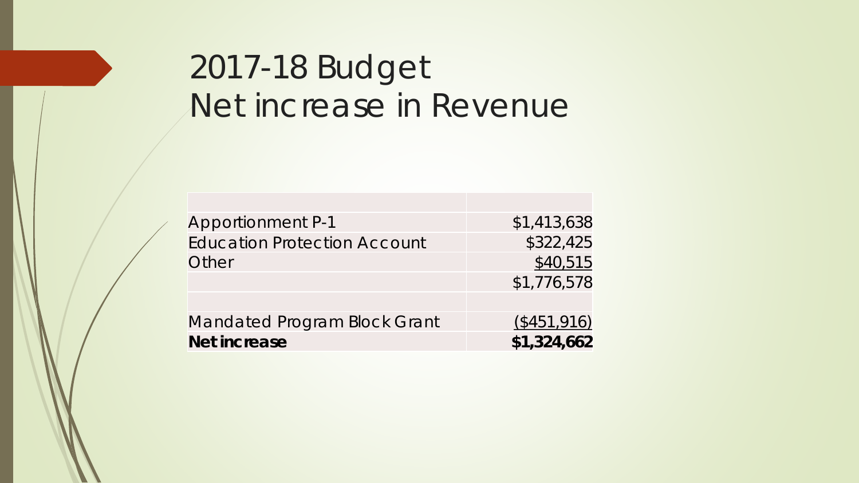# 2017-18 Budget Net increase in Revenue

| <b>Apportionment P-1</b>            | \$1,413,638 |
|-------------------------------------|-------------|
| <b>Education Protection Account</b> | \$322,425   |
| Other                               | \$40,515    |
|                                     | \$1,776,578 |
|                                     |             |
| <b>Mandated Program Block Grant</b> | (\$451,916) |
| <b>Net increase</b>                 | \$1,324,662 |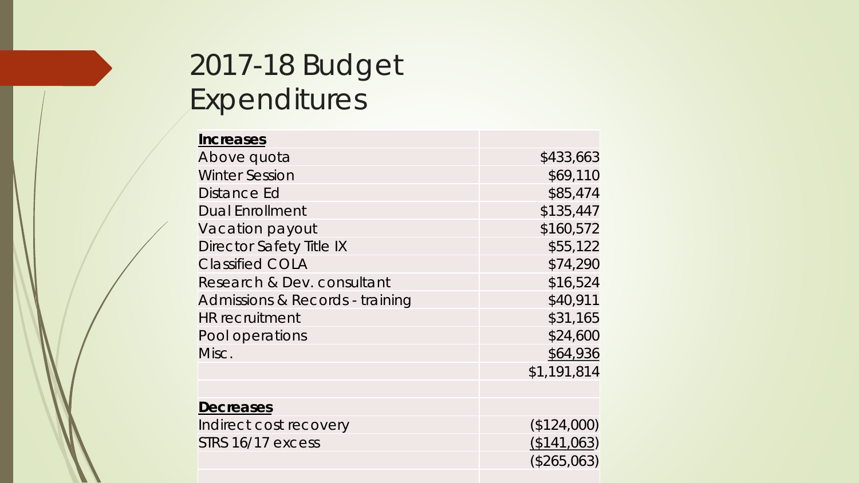## 2017-18 Budget Expenditures

| <b>Increases</b>                |             |
|---------------------------------|-------------|
| Above quota                     | \$433,663   |
| <b>Winter Session</b>           | \$69,110    |
| Distance Ed                     | \$85,474    |
| <b>Dual Enrollment</b>          | \$135,447   |
| Vacation payout                 | \$160,572   |
| Director Safety Title IX        | \$55,122    |
| <b>Classified COLA</b>          | \$74,290    |
| Research & Dev. consultant      | \$16,524    |
| Admissions & Records - training | \$40,911    |
| <b>HR</b> recruitment           | \$31,165    |
| Pool operations                 | \$24,600    |
| Misc.                           | \$64,936    |
|                                 | \$1,191,814 |
|                                 |             |
| <b>Decreases</b>                |             |
| Indirect cost recovery          | (\$124,000) |
| STRS 16/17 excess               | (\$141,063) |
|                                 | (\$265,063) |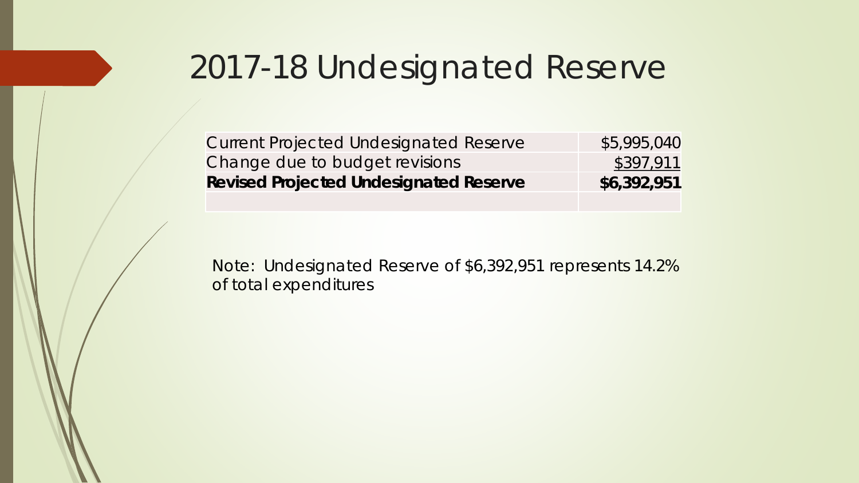# 2017-18 Undesignated Reserve

| <b>Current Projected Undesignated Reserve</b> | \$5,995,040 |
|-----------------------------------------------|-------------|
| Change due to budget revisions                | \$397,911   |
| <b>Revised Projected Undesignated Reserve</b> | \$6,392,951 |

Note: Undesignated Reserve of \$6,392,951 represents 14.2% of total expenditures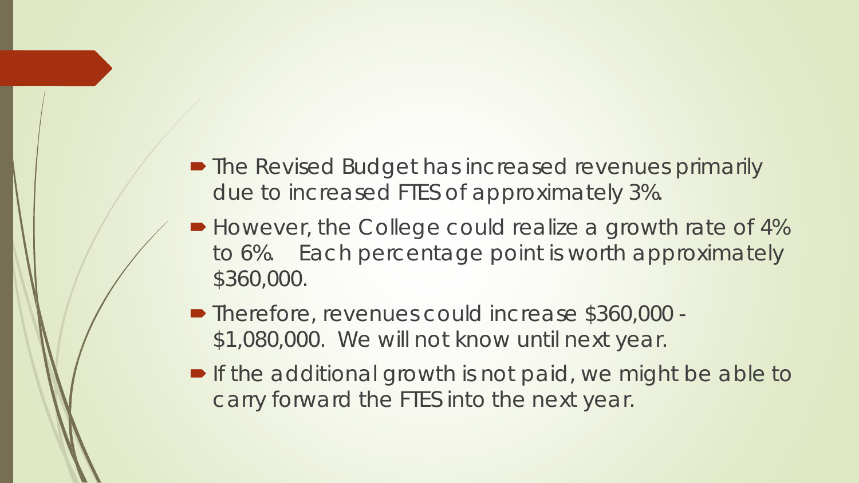- The Revised Budget has increased revenues primarily due to increased FTES of approximately 3%.
- However, the College could realize a growth rate of 4% to 6%. Each percentage point is worth approximately \$360,000.
- Therefore, revenues could increase \$360,000 -\$1,080,000. We will not know until next year.
- **If the additional growth is not paid, we might be able to** carry forward the FTES into the next year.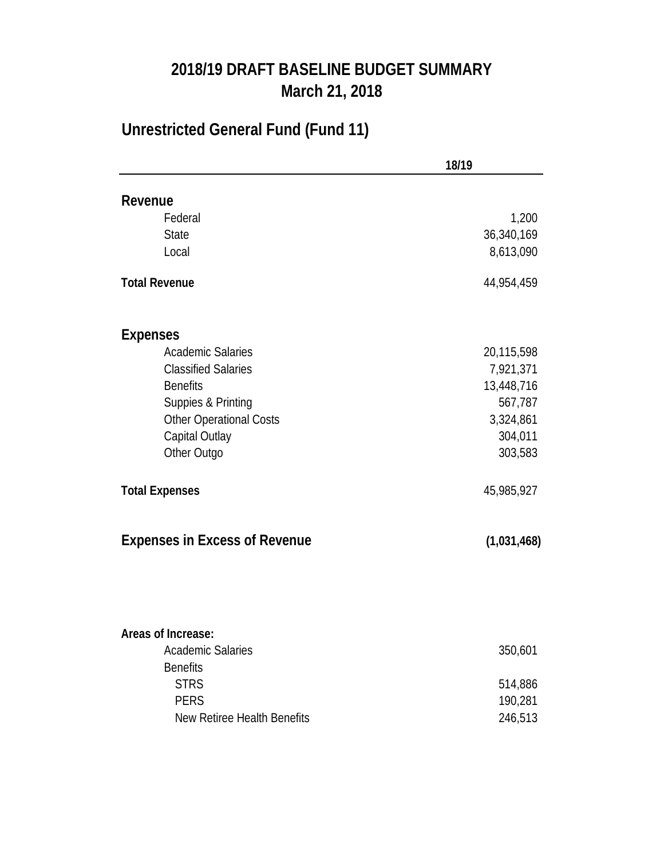#### **2018/19 DRAFT BASELINE BUDGET SUMMARY March 21, 2018**

### **Unrestricted General Fund (Fund 11)**

|                                      | 18/19       |
|--------------------------------------|-------------|
| Revenue                              |             |
| Federal                              | 1,200       |
| <b>State</b>                         | 36,340,169  |
| Local                                | 8,613,090   |
| <b>Total Revenue</b>                 | 44,954,459  |
| <b>Expenses</b>                      |             |
| <b>Academic Salaries</b>             | 20,115,598  |
| <b>Classified Salaries</b>           | 7,921,371   |
| <b>Benefits</b>                      | 13,448,716  |
| Suppies & Printing                   | 567,787     |
| Other Operational Costs              | 3,324,861   |
| Capital Outlay                       | 304,011     |
| Other Outgo                          | 303,583     |
| <b>Total Expenses</b>                | 45,985,927  |
| <b>Expenses in Excess of Revenue</b> | (1,031,468) |
|                                      |             |
| Areas of Increase:                   |             |
| <b>Academic Salaries</b>             | 350,601     |
| <b>Benefits</b>                      |             |
| <b>STRS</b>                          | 514,886     |
| <b>PERS</b>                          | 190,281     |
| <b>New Retiree Health Benefits</b>   | 246,513     |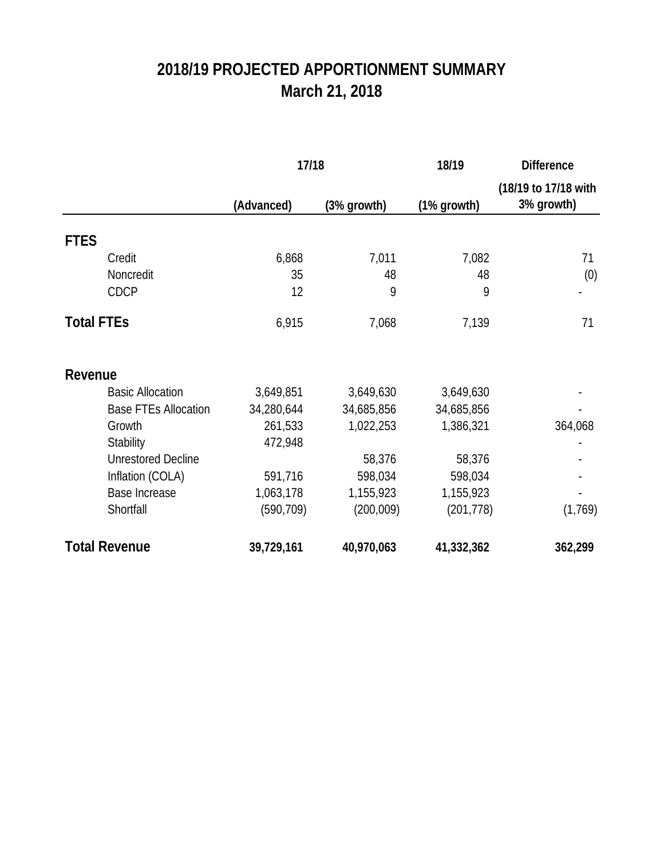### **2018/19 PROJECTED APPORTIONMENT SUMMARY March 21, 2018**

|                             | 17/18      |             | 18/19       | <b>Difference</b>                  |  |
|-----------------------------|------------|-------------|-------------|------------------------------------|--|
|                             | (Advanced) | (3% growth) | (1% growth) | (18/19 to 17/18 with<br>3% growth) |  |
| <b>FTES</b>                 |            |             |             |                                    |  |
| Credit                      | 6,868      | 7,011       | 7,082       | 71                                 |  |
| Noncredit                   | 35         | 48          | 48          | (0)                                |  |
| CDCP                        | 12         | 9           | 9           |                                    |  |
| <b>Total FTEs</b>           | 6,915      | 7,068       | 7,139       | 71                                 |  |
| Revenue                     |            |             |             |                                    |  |
| <b>Basic Allocation</b>     | 3,649,851  | 3,649,630   | 3,649,630   |                                    |  |
| <b>Base FTEs Allocation</b> | 34,280,644 | 34,685,856  | 34,685,856  |                                    |  |
| Growth                      | 261,533    | 1,022,253   | 1,386,321   | 364,068                            |  |
| Stability                   | 472,948    |             |             |                                    |  |
| <b>Unrestored Decline</b>   |            | 58,376      | 58,376      |                                    |  |
| Inflation (COLA)            | 591,716    | 598,034     | 598,034     |                                    |  |
| <b>Base Increase</b>        | 1,063,178  | 1,155,923   | 1,155,923   |                                    |  |
| Shortfall                   | (590, 709) | (200,009)   | (201, 778)  | (1,769)                            |  |
| <b>Total Revenue</b>        | 39,729,161 | 40,970,063  | 41,332,362  | 362,299                            |  |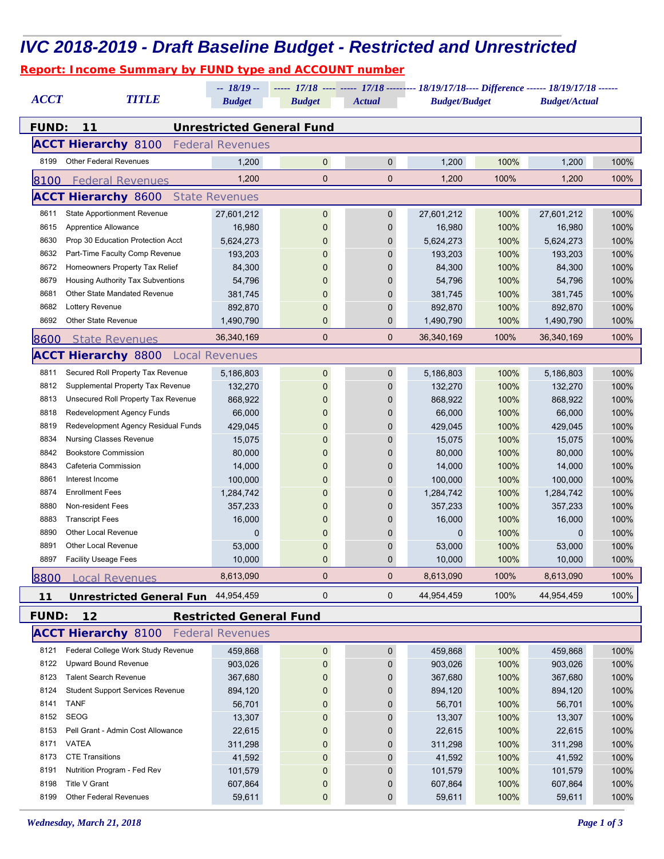|              | <b>Report: Income Summary by FUND type and ACCOUNT number</b> |                                          |                                                                                              |                  |                      |              |                      |              |
|--------------|---------------------------------------------------------------|------------------------------------------|----------------------------------------------------------------------------------------------|------------------|----------------------|--------------|----------------------|--------------|
|              |                                                               | $-18/19-$                                | ----- 17/18 ---- ----- 17/18 --------- 18/19/17/18 ---- Difference ------ 18/19/17/18 ------ |                  |                      |              |                      |              |
| <b>ACCT</b>  | <b>TITLE</b>                                                  | <b>Budget</b><br><b>Budget</b><br>Actual |                                                                                              |                  | <b>Budget/Budget</b> |              | <b>Budget/Actual</b> |              |
| <b>FUND:</b> | 11                                                            |                                          | <b>Unrestricted General Fund</b>                                                             |                  |                      |              |                      |              |
|              | <b>ACCT Hierarchy 8100</b>                                    | <b>Federal Revenues</b>                  |                                                                                              |                  |                      |              |                      |              |
| 8199         | <b>Other Federal Revenues</b>                                 | 1,200                                    | $\mathbf 0$                                                                                  | $\mathbf 0$      | 1,200                | 100%         | 1,200                | 100%         |
|              |                                                               |                                          |                                                                                              |                  |                      |              |                      |              |
| 8100         | <b>Federal Revenues</b>                                       | 1,200                                    | $\mathbf 0$                                                                                  | $\mathbf 0$      | 1,200                | 100%         | 1,200                | 100%         |
|              | <b>ACCT Hierarchy 8600</b>                                    | <b>State Revenues</b>                    |                                                                                              |                  |                      |              |                      |              |
| 8611         | <b>State Apportionment Revenue</b>                            | 27,601,212                               | 0                                                                                            | $\boldsymbol{0}$ | 27,601,212           | 100%         | 27,601,212           | 100%         |
| 8615         | Apprentice Allowance                                          | 16,980                                   | $\mathbf 0$                                                                                  | 0                | 16,980               | 100%         | 16,980               | 100%         |
| 8630         | Prop 30 Education Protection Acct                             | 5,624,273                                | 0                                                                                            | 0                | 5,624,273            | 100%         | 5,624,273            | 100%         |
| 8632         | Part-Time Faculty Comp Revenue                                | 193,203                                  | 0                                                                                            | 0                | 193,203              | 100%         | 193,203              | 100%         |
| 8672         | Homeowners Property Tax Relief                                | 84,300                                   | 0                                                                                            | $\mathbf{0}$     | 84,300               | 100%         | 84,300               | 100%         |
| 8679         | Housing Authority Tax Subventions                             | 54,796                                   | 0                                                                                            | $\mathbf{0}$     | 54,796               | 100%         | 54,796               | 100%         |
| 8681         | <b>Other State Mandated Revenue</b>                           | 381,745                                  | 0                                                                                            | $\mathbf{0}$     | 381,745              | 100%         | 381,745              | 100%         |
| 8682         | Lottery Revenue                                               | 892,870                                  | $\mathbf{0}$                                                                                 | 0                | 892,870              | 100%         | 892,870              | 100%         |
| 8692         | <b>Other State Revenue</b>                                    | 1,490,790                                | $\mathbf{0}$                                                                                 | 0                | 1,490,790            | 100%         | 1,490,790            | 100%         |
| <i>8600</i>  | <b>State Revenues</b>                                         | 36,340,169                               | $\mathbf 0$                                                                                  | $\mathbf 0$      | 36,340,169           | 100%         | 36,340,169           | 100%         |
|              | <b>ACCT Hierarchy 8800</b>                                    | <b>Local Revenues</b>                    |                                                                                              |                  |                      |              |                      |              |
| 8811         | Secured Roll Property Tax Revenue                             | 5,186,803                                | $\mathbf 0$                                                                                  | $\boldsymbol{0}$ | 5,186,803            | 100%         | 5,186,803            | 100%         |
| 8812         | Supplemental Property Tax Revenue                             | 132,270                                  | $\Omega$                                                                                     | $\mathbf 0$      | 132,270              | 100%         | 132,270              | 100%         |
| 8813         | Unsecured Roll Property Tax Revenue                           | 868,922                                  | 0                                                                                            | 0                | 868,922              | 100%         | 868,922              | 100%         |
| 8818         | Redevelopment Agency Funds                                    | 66,000                                   | 0                                                                                            | 0                | 66,000               | 100%         | 66,000               | 100%         |
| 8819         | Redevelopment Agency Residual Funds                           | 429,045                                  | 0                                                                                            | $\mathbf 0$      | 429,045              | 100%         | 429,045              | 100%         |
| 8834         | <b>Nursing Classes Revenue</b>                                | 15,075                                   | 0                                                                                            | $\mathbf{0}$     | 15,075               | 100%         | 15,075               | 100%         |
| 8842         | <b>Bookstore Commission</b>                                   | 80,000                                   | 0                                                                                            | $\mathbf{0}$     | 80,000               | 100%         | 80,000               | 100%         |
| 8843         | Cafeteria Commission                                          | 14,000                                   | $\Omega$                                                                                     | 0                | 14,000               | 100%         | 14,000               | 100%         |
| 8861         | Interest Income                                               | 100,000                                  | $\mathbf 0$                                                                                  | 0                | 100,000              | 100%         | 100,000              | 100%         |
| 8874         | <b>Enrollment Fees</b>                                        | 1,284,742                                | $\mathbf 0$                                                                                  | 0                | 1,284,742            | 100%         | 1,284,742            | 100%         |
| 8880         | Non-resident Fees                                             | 357,233                                  | 0                                                                                            | 0                | 357,233              | 100%         | 357,233              | 100%         |
| 8883         | <b>Transcript Fees</b>                                        | 16,000                                   | 0                                                                                            | 0                | 16,000               | 100%         | 16,000               | 100%         |
| 8890         | <b>Other Local Revenue</b>                                    | 0                                        | 0                                                                                            |                  | 0                    | 100%         | $\mathbf 0$          | 100%         |
| 8891         | <b>Other Local Revenue</b>                                    |                                          | $\overline{0}$                                                                               | 0                |                      |              |                      |              |
| 8897         | <b>Facility Useage Fees</b>                                   | 53,000<br>10,000                         | $\mathbf 0$                                                                                  | 0<br>$\mathbf 0$ | 53,000<br>10,000     | 100%<br>100% | 53,000<br>10,000     | 100%<br>100% |
|              |                                                               | 8,613,090                                | $\mathbf 0$                                                                                  | $\mathbf{0}$     | 8,613,090            | 100%         | 8,613,090            | 100%         |
| 8800         | <b>Local Revenues</b>                                         |                                          |                                                                                              |                  |                      |              | 44.954.459           |              |
| $11$         | <b>Unrestricted General Fun</b>                               | 44,954,459                               | 0                                                                                            | $\mathbf 0$      | 44,954,459           | 100%         |                      | 100%         |
| <b>FUND:</b> | 12                                                            | <b>Restricted General Fund</b>           |                                                                                              |                  |                      |              |                      |              |
|              | <b>ACCT Hierarchy 8100</b>                                    | <b>Federal Revenues</b>                  |                                                                                              |                  |                      |              |                      |              |
| 8121         | Federal College Work Study Revenue                            | 459,868                                  | $\pmb{0}$                                                                                    | $\mathbf 0$      | 459,868              | 100%         | 459,868              | 100%         |
| 8122         | Upward Bound Revenue                                          | 903,026                                  | $\mathbf 0$                                                                                  | $\mathbf 0$      | 903,026              | 100%         | 903,026              | 100%         |
| 8123         | <b>Talent Search Revenue</b>                                  | 367,680                                  | 0                                                                                            | 0                | 367,680              | 100%         | 367,680              | 100%         |
| 8124         | <b>Student Support Services Revenue</b>                       | 894,120                                  | $\mathbf 0$                                                                                  | $\mathbf 0$      | 894,120              | 100%         | 894,120              | 100%         |
| 8141         | <b>TANF</b>                                                   | 56,701                                   | $\mathbf 0$                                                                                  | $\mathbf 0$      | 56,701               | 100%         | 56,701               | 100%         |
| 8152         | <b>SEOG</b>                                                   | 13,307                                   | $\mathbf 0$                                                                                  | 0                | 13,307               | 100%         | 13,307               | 100%         |
| 8153         | Pell Grant - Admin Cost Allowance                             | 22,615                                   | 0                                                                                            | $\mathbf 0$      | 22,615               | 100%         | 22,615               | 100%         |
| 8171         | <b>VATEA</b>                                                  | 311,298                                  | 0                                                                                            | 0                | 311,298              | 100%         | 311,298              | 100%         |
| 8173         | <b>CTE Transitions</b>                                        | 41,592                                   | 0                                                                                            | 0                | 41,592               | 100%         | 41,592               | 100%         |
| 8191         | Nutrition Program - Fed Rev                                   | 101,579                                  | $\mathbf 0$                                                                                  | 0                | 101,579              | 100%         | 101,579              | 100%         |
| 8198         | <b>Title V Grant</b>                                          | 607,864                                  | 0                                                                                            | $\boldsymbol{0}$ | 607,864              | 100%         | 607,864              | 100%         |
| 8199         | Other Federal Revenues                                        | 59,611                                   | $\mathbf{0}$                                                                                 | $\mathbf{0}$     | 59,611               | 100%         | 59,611               | 100%         |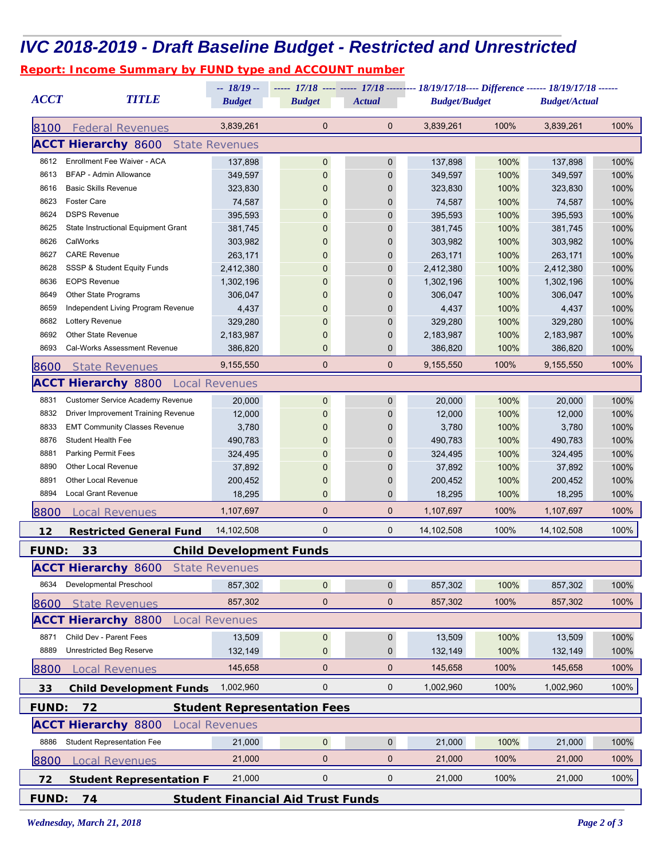## *IVC 2018-2019 - Draft Baseline Budget - Restricted and Unrestricted*

|  |  |  |  | <b>Report: Income Summary by FUND type and ACCOUNT number</b> |  |
|--|--|--|--|---------------------------------------------------------------|--|
|  |  |  |  |                                                               |  |
|  |  |  |  |                                                               |  |

| <b>ACCT</b>  | <b>TITLE</b>                                                   | -- 18/19 --           |                                    |               | ----- 17/18 ---- ----- 17/18 --------- 18/19/17/18---- Difference ------ 18/19/17/18 ------<br><b>Budget/Actual</b> |                      |            |      |  |  |
|--------------|----------------------------------------------------------------|-----------------------|------------------------------------|---------------|---------------------------------------------------------------------------------------------------------------------|----------------------|------------|------|--|--|
|              |                                                                | <b>Budget</b>         | <b>Budget</b>                      | <b>Actual</b> |                                                                                                                     | <b>Budget/Budget</b> |            |      |  |  |
| 8100         | <b>Federal Revenues</b>                                        | 3,839,261             | $\mathbf 0$                        | $\mathbf 0$   | 3,839,261                                                                                                           | 100%                 | 3,839,261  | 100% |  |  |
|              | <b>ACCT Hierarchy 8600</b>                                     | <b>State Revenues</b> |                                    |               |                                                                                                                     |                      |            |      |  |  |
| 8612         | Enrollment Fee Waiver - ACA                                    | 137,898               | 0                                  | 0             | 137,898                                                                                                             | 100%                 | 137,898    | 100% |  |  |
| 8613         | BFAP - Admin Allowance                                         | 349,597               | $\mathbf{0}$                       | $\mathbf 0$   | 349,597                                                                                                             | 100%                 | 349,597    | 100% |  |  |
| 8616         | <b>Basic Skills Revenue</b>                                    | 323,830               | $\Omega$                           | 0             | 323,830                                                                                                             | 100%                 | 323,830    | 100% |  |  |
| 8623         | <b>Foster Care</b>                                             | 74,587                | 0                                  | 0             | 74,587                                                                                                              | 100%                 | 74,587     | 100% |  |  |
| 8624         | <b>DSPS Revenue</b>                                            | 395,593               | 0                                  | 0             | 395,593                                                                                                             | 100%                 | 395,593    | 100% |  |  |
| 8625         | State Instructional Equipment Grant                            | 381,745               | 0                                  | 0             | 381,745                                                                                                             | 100%                 | 381,745    | 100% |  |  |
| 8626         | CalWorks                                                       | 303,982               | 0                                  | 0             | 303,982                                                                                                             | 100%                 | 303,982    | 100% |  |  |
| 8627         | <b>CARE Revenue</b>                                            | 263,171               | 0                                  | $\mathbf 0$   | 263,171                                                                                                             | 100%                 | 263,171    | 100% |  |  |
| 8628         | SSSP & Student Equity Funds                                    | 2,412,380             |                                    | 0             | 2,412,380                                                                                                           | 100%                 | 2,412,380  | 100% |  |  |
| 8636         | <b>EOPS Revenue</b>                                            | 1,302,196             |                                    | 0             | 1,302,196                                                                                                           | 100%                 | 1,302,196  | 100% |  |  |
| 8649         | <b>Other State Programs</b>                                    | 306,047               |                                    | 0             | 306,047                                                                                                             | 100%                 | 306,047    | 100% |  |  |
| 8659         | Independent Living Program Revenue                             | 4,437                 | 0                                  | 0             | 4,437                                                                                                               | 100%                 | 4,437      | 100% |  |  |
| 8682         | Lottery Revenue                                                | 329,280               | 0                                  | 0             | 329,280                                                                                                             | 100%                 | 329,280    | 100% |  |  |
| 8692         | Other State Revenue                                            | 2,183,987             | 0                                  | 0             | 2,183,987                                                                                                           | 100%                 | 2,183,987  | 100% |  |  |
| 8693         | Cal-Works Assessment Revenue                                   | 386,820               | 0                                  | $\mathbf 0$   | 386,820                                                                                                             | 100%                 | 386,820    | 100% |  |  |
| <i>8600</i>  | <b>State Revenues</b>                                          | 9,155,550             | 0                                  | $\mathbf 0$   | 9,155,550                                                                                                           | 100%                 | 9,155,550  | 100% |  |  |
|              | <b>ACCT Hierarchy</b> 8800 Local Revenues                      |                       |                                    |               |                                                                                                                     |                      |            |      |  |  |
| 8831         | <b>Customer Service Academy Revenue</b>                        | 20,000                | 0                                  | $\mathbf 0$   | 20,000                                                                                                              | 100%                 | 20,000     | 100% |  |  |
| 8832         | <b>Driver Improvement Training Revenue</b>                     | 12,000                | 0                                  | $\mathbf{0}$  | 12,000                                                                                                              | 100%                 | 12,000     | 100% |  |  |
| 8833         | <b>EMT Community Classes Revenue</b>                           | 3,780                 | 0                                  | 0             | 3,780                                                                                                               | 100%                 | 3,780      | 100% |  |  |
| 8876         | Student Health Fee                                             | 490,783               | 0                                  | 0             | 490,783                                                                                                             | 100%                 | 490,783    | 100% |  |  |
| 8881         | <b>Parking Permit Fees</b>                                     | 324,495               |                                    | 0             | 324,495                                                                                                             | 100%                 | 324,495    | 100% |  |  |
| 8890         | <b>Other Local Revenue</b>                                     | 37,892                |                                    | 0             | 37,892                                                                                                              | 100%                 | 37,892     | 100% |  |  |
| 8891         | Other Local Revenue                                            | 200,452               | 0                                  | $\mathbf 0$   | 200,452                                                                                                             | 100%                 | 200,452    | 100% |  |  |
| 8894         | <b>Local Grant Revenue</b>                                     | 18,295                | 0                                  | 0             | 18,295                                                                                                              | 100%                 | 18,295     | 100% |  |  |
| 8800         | <b>Local Revenues</b>                                          | 1,107,697             | 0                                  | $\mathbf 0$   | 1,107,697                                                                                                           | 100%                 | 1,107,697  | 100% |  |  |
| 12           | <b>Restricted General Fund</b>                                 | 14,102,508            | 0                                  | 0             | 14,102,508                                                                                                          | 100%                 | 14,102,508 | 100% |  |  |
| <b>FUND:</b> | 33                                                             |                       | <b>Child Development Funds</b>     |               |                                                                                                                     |                      |            |      |  |  |
|              | <b>ACCT Hierarchy 8600</b>                                     | <b>State Revenues</b> |                                    |               |                                                                                                                     |                      |            |      |  |  |
| 8634         | Developmental Preschool                                        | 857.302               | $\overline{0}$                     | $\mathbf 0$   | 857,302                                                                                                             | 100%                 | 857,302    | 100% |  |  |
| 8600         | <b>State Revenues</b>                                          | 857,302               | 0                                  | $\mathbf 0$   | 857,302                                                                                                             | 100%                 | 857,302    | 100% |  |  |
|              | <b>ACCT Hierarchy 8800</b>                                     | <b>Local Revenues</b> |                                    |               |                                                                                                                     |                      |            |      |  |  |
| 8871         | Child Dev - Parent Fees                                        | 13,509                | $\pmb{0}$                          | $\pmb{0}$     | 13,509                                                                                                              | 100%                 | 13,509     | 100% |  |  |
| 8889         | <b>Unrestricted Beg Reserve</b>                                | 132,149               | 0                                  | $\mathbf 0$   | 132,149                                                                                                             | 100%                 | 132,149    | 100% |  |  |
|              |                                                                |                       | 0                                  | $\mathbf 0$   |                                                                                                                     |                      |            |      |  |  |
| 8800         | <b>Local Revenues</b>                                          | 145,658               |                                    |               | 145,658                                                                                                             | 100%                 | 145,658    | 100% |  |  |
| 33           | <b>Child Development Funds</b>                                 | 1,002,960             | 0                                  | 0             | 1,002,960                                                                                                           | 100%                 | 1,002,960  | 100% |  |  |
| <b>FUND:</b> | 72                                                             |                       | <b>Student Representation Fees</b> |               |                                                                                                                     |                      |            |      |  |  |
|              | <b>ACCT Hierarchy 8800</b>                                     | <b>Local Revenues</b> |                                    |               |                                                                                                                     |                      |            |      |  |  |
| 8886         | <b>Student Representation Fee</b>                              | 21,000                | $\overline{0}$                     | $\mathbf 0$   | 21,000                                                                                                              | 100%                 | 21,000     | 100% |  |  |
| 8800         | <b>Local Revenues</b>                                          | 21,000                | 0                                  | $\mathbf 0$   | 21,000                                                                                                              | 100%                 | 21,000     | 100% |  |  |
| 72           | <b>Student Representation F</b>                                | 21,000                | 0                                  | 0             | 21,000                                                                                                              | 100%                 | 21,000     | 100% |  |  |
|              | <b>FUND:</b><br>74<br><b>Student Financial Aid Trust Funds</b> |                       |                                    |               |                                                                                                                     |                      |            |      |  |  |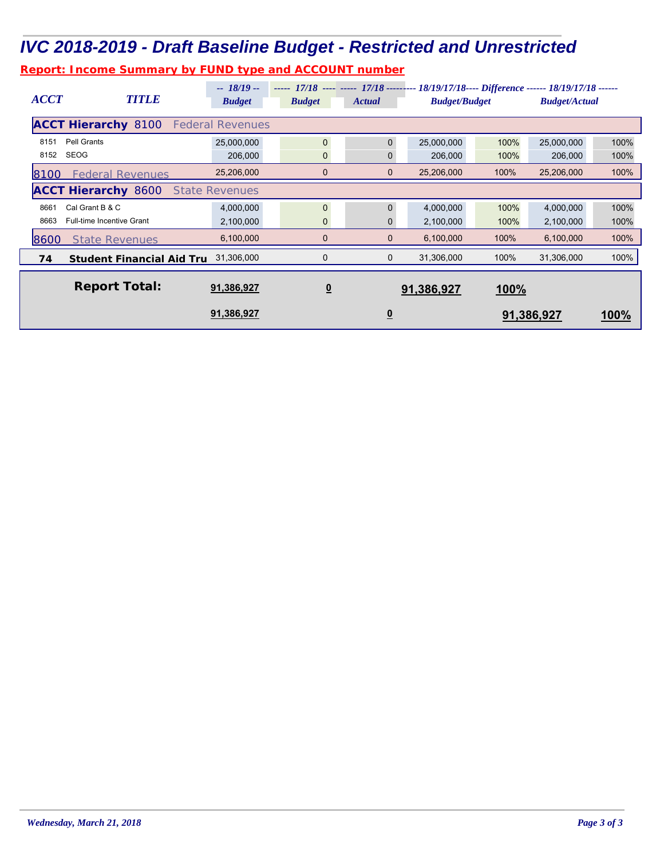### *IVC 2018-2019 - Draft Baseline Budget - Restricted and Unrestricted*

*Report: Income Summary by FUND type and ACCOUNT number*

| <b>ACCT</b>                                           | <b>TITLE</b>                                        | $-18/19-$<br><b>Budget</b> | <b>Budget</b>           | <b>Actual</b>           | ----- 17/18 ---- ----- 17/18 --------- 18/19/17/18---- Difference ------ 18/19/17/18 ------<br><b>Budget/Budget</b> |      | <b>Budget/Actual</b> |      |  |  |
|-------------------------------------------------------|-----------------------------------------------------|----------------------------|-------------------------|-------------------------|---------------------------------------------------------------------------------------------------------------------|------|----------------------|------|--|--|
| <b>ACCT Hierarchy 8100</b><br><b>Federal Revenues</b> |                                                     |                            |                         |                         |                                                                                                                     |      |                      |      |  |  |
| 8151                                                  | Pell Grants                                         | 25,000,000                 | $\Omega$                | $\Omega$                | 25,000,000                                                                                                          | 100% | 25,000,000           | 100% |  |  |
| 8152                                                  | SEOG                                                | 206,000                    | $\mathbf{0}$            | 0                       | 206,000                                                                                                             | 100% | 206,000              | 100% |  |  |
| 8100                                                  | <b>Federal Revenues</b>                             | 25,206,000                 | $\mathbf 0$             | $\mathbf 0$             | 25,206,000                                                                                                          | 100% | 25,206,000           | 100% |  |  |
|                                                       | <b>ACCT Hierarchy 8600</b><br><b>State Revenues</b> |                            |                         |                         |                                                                                                                     |      |                      |      |  |  |
| 8661                                                  | Cal Grant B & C                                     | 4,000,000                  | $\mathbf{0}$            | $\Omega$                | 4,000,000                                                                                                           | 100% | 4,000,000            | 100% |  |  |
| 8663                                                  | <b>Full-time Incentive Grant</b>                    | 2,100,000                  | $\mathbf 0$             | $\mathbf{0}$            | 2,100,000                                                                                                           | 100% | 2,100,000            | 100% |  |  |
| 8600                                                  | <b>State Revenues</b>                               | 6,100,000                  | $\mathbf 0$             | $\mathbf 0$             | 6,100,000                                                                                                           | 100% | 6,100,000            | 100% |  |  |
| 74                                                    | <b>Student Financial Aid Tru</b>                    | 31,306,000                 | 0                       | 0                       | 31,306,000                                                                                                          | 100% | 31,306,000           | 100% |  |  |
|                                                       | <b>Report Total:</b>                                | 91,386,927                 | $\overline{\mathbf{0}}$ |                         | 91,386,927                                                                                                          | 100% |                      |      |  |  |
|                                                       |                                                     | 91,386,927                 |                         | $\overline{\mathbf{0}}$ |                                                                                                                     |      | 91,386,927           | 100% |  |  |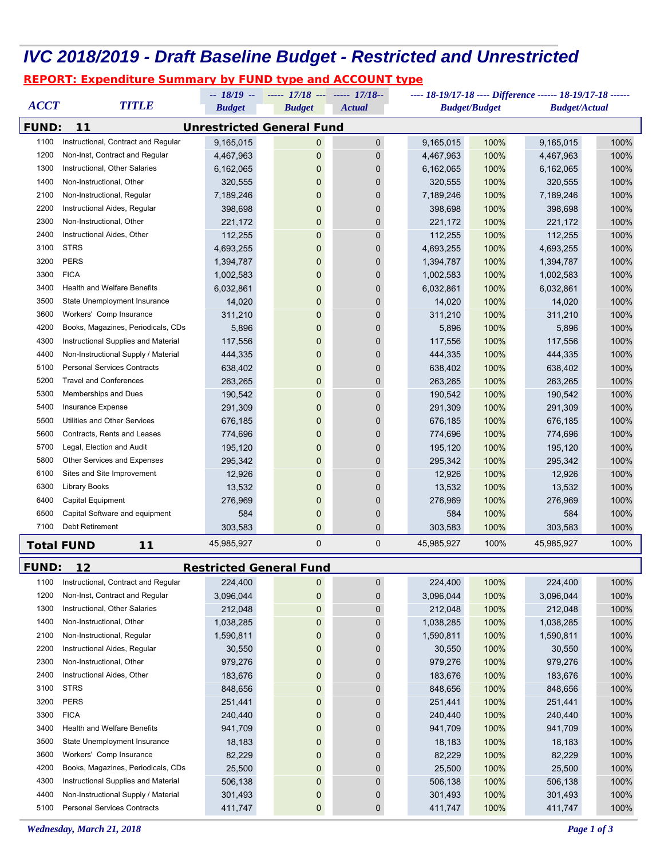### *IVC 2018/2019 - Draft Baseline Budget - Restricted and Unrestricted*

#### *REPORT: Expenditure Summary by FUND type and ACCOUNT type*

|              | ----- $17/18$ --- ----- $17/18$ --<br>---- 18-19/17-18 ---- Difference ------ 18-19/17-18 ------<br>$-18/19 -$ |                   |                                  |               |                   |                      |                      |      |
|--------------|----------------------------------------------------------------------------------------------------------------|-------------------|----------------------------------|---------------|-------------------|----------------------|----------------------|------|
| <b>ACCT</b>  | <b>TITLE</b>                                                                                                   | <b>Budget</b>     | <b>Budget</b>                    | <b>Actual</b> |                   | <b>Budget/Budget</b> | <b>Budget/Actual</b> |      |
| <b>FUND:</b> | 11                                                                                                             |                   | <b>Unrestricted General Fund</b> |               |                   |                      |                      |      |
| 1100         | Instructional, Contract and Regular                                                                            | 9,165,015         | 0                                | 0             | 9,165,015         | 100%                 | 9,165,015            | 100% |
| 1200         | Non-Inst, Contract and Regular                                                                                 | 4,467,963         | 0                                | 0             | 4,467,963         | 100%                 | 4,467,963            | 100% |
| 1300         | Instructional, Other Salaries                                                                                  | 6,162,065         | 0                                | 0             | 6,162,065         | 100%                 | 6,162,065            | 100% |
| 1400         | Non-Instructional, Other                                                                                       | 320,555           | 0                                | 0             | 320,555           | 100%                 | 320,555              | 100% |
| 2100         | Non-Instructional, Regular                                                                                     | 7,189,246         | 0                                | 0             | 7,189,246         | 100%                 | 7,189,246            | 100% |
| 2200         | Instructional Aides, Regular                                                                                   | 398,698           | 0                                | 0             | 398,698           | 100%                 | 398,698              | 100% |
| 2300         | Non-Instructional, Other                                                                                       | 221,172           | 0                                | 0             | 221,172           | 100%                 | 221,172              | 100% |
| 2400         | Instructional Aides, Other                                                                                     | 112,255           | 0                                | 0             | 112,255           | 100%                 | 112,255              | 100% |
| 3100         | <b>STRS</b>                                                                                                    | 4,693,255         | 0                                | 0             | 4,693,255         | 100%                 | 4,693,255            | 100% |
| 3200         | <b>PERS</b>                                                                                                    | 1,394,787         | 0                                | 0             | 1,394,787         | 100%                 | 1,394,787            | 100% |
| 3300         | <b>FICA</b>                                                                                                    | 1,002,583         | 0                                | 0             | 1,002,583         | 100%                 | 1,002,583            | 100% |
| 3400         | <b>Health and Welfare Benefits</b>                                                                             | 6,032,861         | 0                                | 0             | 6,032,861         | 100%                 | 6,032,861            | 100% |
| 3500         | State Unemployment Insurance                                                                                   | 14,020            | 0                                | 0             | 14,020            | 100%                 | 14,020               | 100% |
| 3600         | Workers' Comp Insurance                                                                                        | 311,210           | 0                                | 0             | 311,210           | 100%                 | 311,210              | 100% |
| 4200         | Books, Magazines, Periodicals, CDs                                                                             | 5,896             | 0                                | 0             | 5,896             | 100%                 | 5,896                | 100% |
| 4300         | Instructional Supplies and Material                                                                            | 117,556           | 0                                | 0             | 117,556           | 100%                 | 117,556              | 100% |
| 4400         | Non-Instructional Supply / Material                                                                            | 444,335           | 0                                | 0             | 444,335           | 100%                 | 444,335              | 100% |
| 5100         | <b>Personal Services Contracts</b>                                                                             | 638,402           | 0                                | 0             | 638,402           | 100%                 | 638,402              | 100% |
| 5200         | <b>Travel and Conferences</b>                                                                                  | 263,265           | 0                                | 0             | 263,265           | 100%                 | 263,265              | 100% |
| 5300         | Memberships and Dues                                                                                           | 190,542           | 0                                | 0             | 190,542           | 100%                 | 190,542              | 100% |
| 5400         | Insurance Expense                                                                                              | 291,309           | 0                                | 0             | 291,309           | 100%                 | 291,309              | 100% |
| 5500         | Utilities and Other Services                                                                                   | 676,185           | 0                                | 0             | 676,185           | 100%                 | 676,185              | 100% |
| 5600         | Contracts, Rents and Leases                                                                                    | 774,696           | 0                                | 0             |                   | 100%                 |                      | 100% |
| 5700         | Legal, Election and Audit                                                                                      |                   | 0                                | 0             | 774,696           | 100%                 | 774,696              |      |
| 5800         | Other Services and Expenses                                                                                    | 195,120           | 0                                | 0             | 195,120           | 100%                 | 195,120              | 100% |
| 6100         | Sites and Site Improvement                                                                                     | 295,342<br>12,926 | 0                                | 0             | 295,342<br>12,926 |                      | 295,342<br>12,926    | 100% |
| 6300         |                                                                                                                |                   |                                  |               |                   | 100%                 |                      | 100% |
| 6400         | <b>Library Books</b>                                                                                           | 13,532            | 0                                | 0             | 13,532            | 100%                 | 13,532               | 100% |
| 6500         | Capital Equipment<br>Capital Software and equipment                                                            | 276,969           | 0                                | 0             | 276,969           | 100%                 | 276,969              | 100% |
| 7100         | Debt Retirement                                                                                                | 584               | 0<br>0                           | 0<br>0        | 584               | 100%<br>100%         | 584<br>303,583       | 100% |
|              |                                                                                                                | 303,583           |                                  |               | 303,583           |                      |                      | 100% |
|              | <b>Total FUND</b><br>$11$                                                                                      | 45,985,927        | 0                                | 0             | 45,985,927        | 100%                 | 45,985,927           | 100% |
| <b>FUND:</b> | 12                                                                                                             |                   | <b>Restricted General Fund</b>   |               |                   |                      |                      |      |
| 1100         | Instructional, Contract and Regular                                                                            | 224,400           | 0                                | 0             | 224,400           | 100%                 | 224,400              | 100% |
| 1200         | Non-Inst, Contract and Regular                                                                                 | 3,096,044         | 0                                | 0             | 3,096,044         | 100%                 | 3,096,044            | 100% |
| 1300         | Instructional, Other Salaries                                                                                  | 212,048           | 0                                | 0             | 212,048           | 100%                 | 212,048              | 100% |
| 1400         | Non-Instructional, Other                                                                                       | 1,038,285         | 0                                | 0             | 1,038,285         | 100%                 | 1,038,285            | 100% |
| 2100         | Non-Instructional, Regular                                                                                     | 1,590,811         | 0                                | 0             | 1,590,811         | 100%                 | 1,590,811            | 100% |
| 2200         | Instructional Aides, Regular                                                                                   | 30,550            | 0                                | 0             | 30,550            | 100%                 | 30,550               | 100% |
| 2300         | Non-Instructional, Other                                                                                       | 979,276           | 0                                | 0             | 979,276           | 100%                 | 979,276              | 100% |
| 2400         | Instructional Aides, Other                                                                                     | 183,676           | 0                                | 0             | 183,676           | 100%                 | 183,676              | 100% |
| 3100         | <b>STRS</b>                                                                                                    | 848,656           | 0                                | 0             | 848,656           | 100%                 | 848,656              | 100% |
| 3200         | <b>PERS</b>                                                                                                    | 251,441           | 0                                | 0             | 251,441           | 100%                 | 251,441              | 100% |
| 3300         | <b>FICA</b>                                                                                                    | 240,440           | 0                                | 0             | 240,440           | 100%                 | 240,440              | 100% |
| 3400         | <b>Health and Welfare Benefits</b>                                                                             | 941,709           | 0                                | 0             | 941,709           | 100%                 | 941,709              | 100% |
| 3500         | State Unemployment Insurance                                                                                   | 18,183            | 0                                | 0             | 18,183            | 100%                 | 18,183               | 100% |
| 3600         | Workers' Comp Insurance                                                                                        | 82,229            | 0                                | 0             | 82,229            | 100%                 | 82,229               | 100% |
| 4200         | Books, Magazines, Periodicals, CDs                                                                             | 25,500            | 0                                | 0             | 25,500            | 100%                 | 25,500               | 100% |
| 4300         | Instructional Supplies and Material                                                                            | 506,138           | 0                                | 0             | 506,138           | 100%                 | 506,138              | 100% |
| 4400         | Non-Instructional Supply / Material                                                                            | 301,493           | 0                                | 0             | 301,493           | 100%                 | 301,493              | 100% |
| 5100         | <b>Personal Services Contracts</b>                                                                             |                   |                                  |               |                   |                      |                      |      |
|              |                                                                                                                | 411,747           | 0                                | 0             | 411,747           | 100%                 | 411,747              | 100% |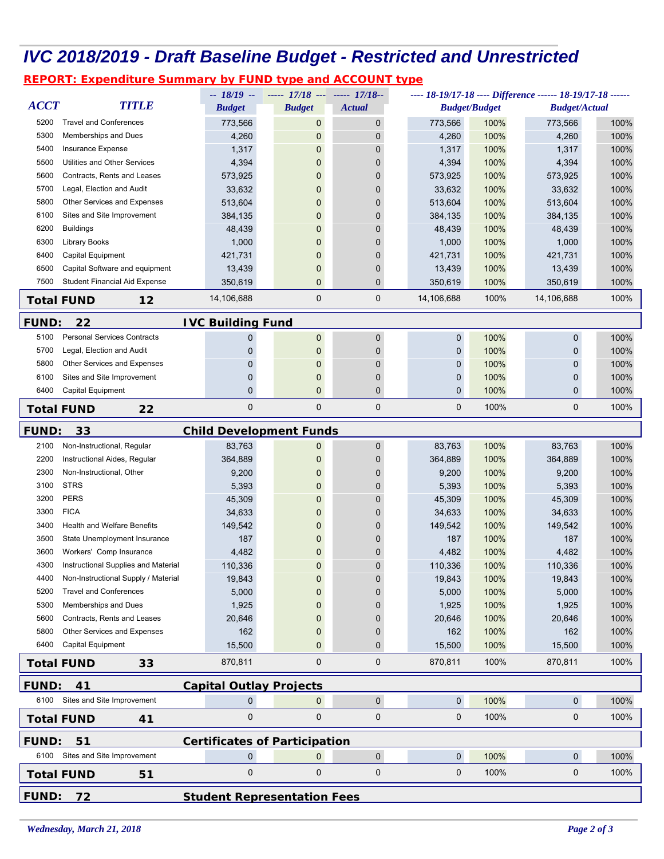#### *IVC 2018/2019 - Draft Baseline Budget - Restricted and Unrestricted*

*REPORT: Expenditure Summary by FUND type and ACCOUNT type*

|                                                          |                                      | $-18/19 -$               | ----- 17/18 --- ----- 17/18--        |               | ---- 18-19/17-18 ---- Difference ------ 18-19/17-18 ------ |              |                      |                      |      |
|----------------------------------------------------------|--------------------------------------|--------------------------|--------------------------------------|---------------|------------------------------------------------------------|--------------|----------------------|----------------------|------|
| <b>ACCT</b>                                              | <b>TITLE</b>                         | <b>Budget</b>            | <b>Budget</b>                        | <b>Actual</b> |                                                            |              | <b>Budget/Budget</b> | <b>Budget/Actual</b> |      |
| 5200                                                     | <b>Travel and Conferences</b>        | 773,566                  | 0                                    | $\pmb{0}$     |                                                            | 773,566      | 100%                 | 773,566              | 100% |
| 5300                                                     | Memberships and Dues                 | 4,260                    | 0                                    | $\mathbf 0$   |                                                            | 4,260        | 100%                 | 4,260                | 100% |
| 5400                                                     | Insurance Expense                    | 1,317                    | 0                                    | $\mathbf 0$   |                                                            | 1,317        | 100%                 | 1,317                | 100% |
| 5500                                                     | Utilities and Other Services         | 4,394                    | 0                                    | $\mathbf 0$   |                                                            | 4,394        | 100%                 | 4,394                | 100% |
| 5600                                                     | Contracts, Rents and Leases          | 573,925                  | 0                                    | $\mathbf 0$   |                                                            | 573,925      | 100%                 | 573,925              | 100% |
| 5700                                                     | Legal, Election and Audit            | 33,632                   | 0                                    | $\Omega$      |                                                            | 33,632       | 100%                 | 33,632               | 100% |
| 5800                                                     | Other Services and Expenses          | 513,604                  | 0                                    | $\mathbf 0$   |                                                            | 513,604      | 100%                 | 513,604              | 100% |
| 6100                                                     | Sites and Site Improvement           | 384,135                  | 0                                    | $\Omega$      |                                                            | 384,135      | 100%                 | 384,135              | 100% |
| 6200                                                     | <b>Buildings</b>                     | 48,439                   | 0                                    | $\mathbf 0$   |                                                            | 48,439       | 100%                 | 48,439               | 100% |
| 6300                                                     | Library Books                        | 1,000                    | 0                                    | $\mathbf 0$   |                                                            | 1,000        | 100%                 | 1,000                | 100% |
| 6400                                                     | Capital Equipment                    | 421,731                  | 0                                    | $\mathbf{0}$  |                                                            | 421,731      | 100%                 | 421,731              | 100% |
| 6500                                                     | Capital Software and equipment       | 13,439                   | 0                                    | $\mathbf 0$   |                                                            | 13,439       | 100%                 | 13,439               | 100% |
| 7500                                                     | <b>Student Financial Aid Expense</b> | 350,619                  | 0                                    | $\mathbf 0$   |                                                            | 350,619      | 100%                 | 350,619              | 100% |
|                                                          | <b>Total FUND</b><br>12              | 14,106,688               | 0                                    | $\mathbf 0$   |                                                            | 14,106,688   | 100%                 | 14,106,688           | 100% |
| <b>FUND:</b>                                             | 22                                   | <b>IVC Building Fund</b> |                                      |               |                                                            |              |                      |                      |      |
| 5100                                                     | <b>Personal Services Contracts</b>   | 0                        | 0                                    | $\pmb{0}$     |                                                            | 0            | 100%                 | 0                    | 100% |
| 5700                                                     | Legal, Election and Audit            | 0                        | 0                                    | $\mathbf 0$   |                                                            | 0            | 100%                 | 0                    | 100% |
| 5800                                                     | Other Services and Expenses          | 0                        | 0                                    | $\mathbf 0$   |                                                            | $\mathbf{0}$ | 100%                 | 0                    | 100% |
| 6100                                                     | Sites and Site Improvement           | 0                        | 0                                    | $\mathbf 0$   |                                                            | 0            | 100%                 | 0                    | 100% |
| 6400                                                     | Capital Equipment                    | 0                        | 0                                    | $\mathbf{0}$  |                                                            | $\mathbf{0}$ | 100%                 | $\mathbf{0}$         | 100% |
|                                                          | 22<br><b>Total FUND</b>              | $\mathbf 0$              | 0                                    | $\mathbf 0$   |                                                            | 0            | 100%                 | 0                    | 100% |
| <b>FUND:</b><br>33<br><b>Child Development Funds</b>     |                                      |                          |                                      |               |                                                            |              |                      |                      |      |
| 2100                                                     | Non-Instructional, Regular           | 83,763                   | 0                                    | $\mathbf 0$   |                                                            | 83,763       | 100%                 | 83,763               | 100% |
| 2200                                                     | Instructional Aides, Regular         | 364,889                  | 0                                    | $\Omega$      |                                                            | 364,889      | 100%                 | 364,889              | 100% |
| 2300                                                     | Non-Instructional, Other             | 9,200                    | 0                                    | 0             |                                                            | 9,200        | 100%                 | 9,200                | 100% |
| 3100                                                     | <b>STRS</b>                          | 5,393                    | 0                                    | $\mathbf{0}$  |                                                            | 5,393        | 100%                 | 5,393                | 100% |
| 3200                                                     | <b>PERS</b>                          | 45,309                   | 0                                    | $\mathbf{0}$  |                                                            | 45,309       | 100%                 | 45,309               | 100% |
| 3300                                                     | <b>FICA</b>                          | 34,633                   | 0                                    | 0             |                                                            | 34,633       | 100%                 | 34,633               | 100% |
| 3400                                                     | <b>Health and Welfare Benefits</b>   | 149,542                  | 0                                    | 0             |                                                            | 149,542      | 100%                 | 149,542              | 100% |
| 3500                                                     | State Unemployment Insurance         | 187                      | 0                                    | 0             |                                                            | 187          | 100%                 | 187                  | 100% |
| 3600                                                     | Workers' Comp Insurance              | 4,482                    | 0                                    | 0             |                                                            | 4,482        | 100%                 | 4,482                | 100% |
| 4300                                                     | Instructional Supplies and Material  | 110,336                  | 0                                    | 0             |                                                            | 110,336      | 100%                 | 110,336              | 100% |
| 4400                                                     | Non-Instructional Supply / Material  | 19,843                   | U                                    | 0             |                                                            | 19,843       | 100%                 | 19,843               | 100% |
| 5200                                                     | <b>Travel and Conferences</b>        | 5,000                    | 0                                    | $\mathbf 0$   |                                                            | 5,000        | 100%                 | 5,000                | 100% |
| 5300                                                     | Memberships and Dues                 | 1,925                    | 0                                    | 0             |                                                            | 1,925        | 100%                 | 1,925                | 100% |
| 5600                                                     | Contracts, Rents and Leases          | 20,646                   | 0                                    | $\Omega$      |                                                            | 20,646       | 100%                 | 20,646               | 100% |
| 5800                                                     | Other Services and Expenses          | 162                      | 0                                    | $\mathbf 0$   |                                                            | 162          | 100%                 | 162                  | 100% |
| 6400                                                     | Capital Equipment                    | 15,500                   | 0                                    | $\mathbf{0}$  |                                                            | 15,500       | 100%                 | 15,500               | 100% |
|                                                          | <b>Total FUND</b><br>33              | 870.811                  | 0                                    | $\mathbf 0$   |                                                            | 870,811      | 100%                 | 870,811              | 100% |
| <b>FUND:</b><br>41<br><b>Capital Outlay Projects</b>     |                                      |                          |                                      |               |                                                            |              |                      |                      |      |
| 6100                                                     | Sites and Site Improvement           | 0                        | 0                                    | $\pmb{0}$     |                                                            | $\mathbf 0$  | 100%                 | $\overline{0}$       | 100% |
|                                                          | <b>Total FUND</b><br>41              | 0                        | $\pmb{0}$                            | $\mathbf 0$   |                                                            | 0            | 100%                 | 0                    | 100% |
| <b>FUND:</b>                                             | 51                                   |                          | <b>Certificates of Participation</b> |               |                                                            |              |                      |                      |      |
|                                                          | 6100 Sites and Site Improvement      | $\mathbf 0$              | $\mathbf{0}$                         | $\mathbf 0$   |                                                            | $\mathbf 0$  | 100%                 | $\mathbf 0$          | 100% |
|                                                          | <b>Total FUND</b><br>51              | 0                        | $\pmb{0}$                            | $\pmb{0}$     |                                                            | $\mathbf 0$  | 100%                 | 0                    | 100% |
| <b>FUND:</b><br><b>Student Representation Fees</b><br>72 |                                      |                          |                                      |               |                                                            |              |                      |                      |      |